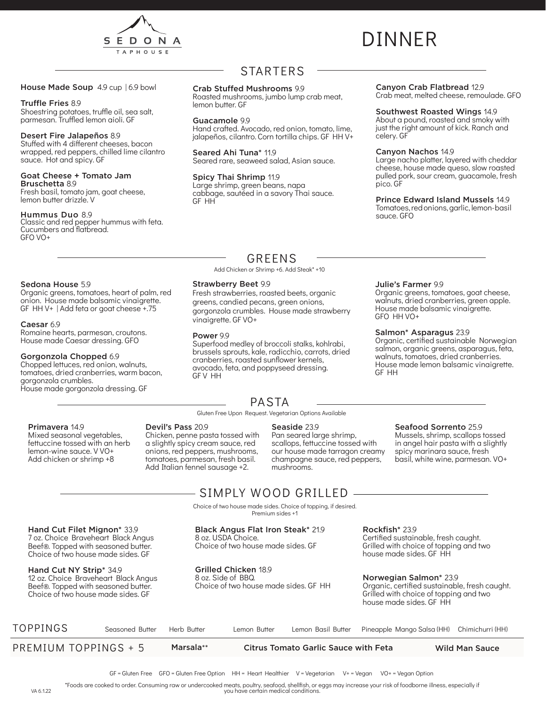

# DINNER

#### House Made Soup 4.9 cup | 6.9 bowl

#### Truffle Fries 8.9

Shoestring potatoes, truffle oil, sea salt, parmesan. Truffled lemon aioli. GF

#### Desert Fire Jalapeños 8.9

Stuffed with 4 different cheeses, bacon wrapped, red peppers, chilled lime cilantro sauce. Hot and spicy. GF

#### Goat Cheese + Tomato Jam

Bruschetta 8.9 Fresh basil, tomato jam, goat cheese, lemon butter drizzle. V

### Hummus Duo 8.9

Classic and red pepper hummus with feta. Cucumbers and flatbread. GFO VO+

## STARTERS

#### Crab Stuffed Mushrooms 9.9

Roasted mushrooms, jumbo lump crab meat, lemon butter. GF

#### Guacamole 9.9

Hand crafted. Avocado, red onion, tomato, lime, jalapeños, cilantro. Corn tortilla chips. GF HH V+

Seared Ahi Tuna\* 11.9 Seared rare, seaweed salad, Asian sauce.

## Spicy Thai Shrimp 11.9

Strawberry Beet 9.9

vinaigrette. GF VO+

Power 9.9

GF V HH

Large shrimp, green beans, napa cabbage, sautéed in a savory Thai sauce. GF HH

> GREENS Add Chicken or Shrimp +6. Add Steak\* +10

Fresh strawberries, roasted beets, organic greens, candied pecans, green onions, gorgonzola crumbles. House made strawberry

#### Canyon Crab Flatbread 12.9

Crab meat, melted cheese, remoulade. GFO

### Southwest Roasted Wings 14.9

About a pound, roasted and smoky with just the right amount of kick. Ranch and celery. GF

#### Canyon Nachos 14.9

Julie's Farmer 9.9

Salmon\* Asparagus 23.9

GFO HH VO+

GF HH

Large nacho platter, layered with cheddar cheese, house made queso, slow roasted pulled pork, sour cream, guacamole, fresh pico. GF

#### Prince Edward Island Mussels 14.9

Tomatoes, red onions, garlic, lemon- basil sauce. GFO

Organic greens, tomatoes, goat cheese, walnuts, dried cranberries, green apple. House made balsamic vinaigrette.

Organic, certified sustainable Norwegian salmon, organic greens, asparagus, feta, walnuts, tomatoes, dried cranberries. House made lemon balsamic vinaigrette.

## Sedona House 5.9

Organic greens, tomatoes, heart of palm, red onion. House made balsamic vinaigrette. GF HH V+ | Add feta or goat cheese +.75

#### Caesar 6.9

Romaine hearts, parmesan, croutons. House made Caesar dressing. GFO

#### Gorgonzola Chopped 6.9

Chopped lettuces, red onion, walnuts, tomatoes, dried cranberries, warm bacon, gorgonzola crumbles. House made gorgonzola dressing. GF

PASTA

Superfood medley of broccoli stalks, kohlrabi, brussels sprouts, kale, radicchio, carrots, dried cranberries, roasted sunflower kernels, avocado, feta, and poppyseed dressing.

Gluten Free Upon Request. Vegetarian Options Available

#### Primavera 14.9

Mixed seasonal vegetables, fettuccine tossed with an herb lemon-wine sauce. V VO+ Add chicken or shrimp +8

#### Devil's Pass 20.9 Chicken, penne pasta tossed with a slightly spicy cream sauce, red onions, red peppers, mushrooms, tomatoes, parmesan, fresh basil.

Add Italian fennel sausage +2.

#### Seaside 23.9

Pan seared large shrimp, scallops, fettuccine tossed with our house made tarragon creamy champagne sauce, red peppers, mushrooms.

Seafood Sorrento 25.9 Mussels, shrimp, scallops tossed in angel hair pasta with a slightly spicy marinara sauce, fresh basil, white wine, parmesan. VO+

## SIMPLY WOOD GRILLED

Choice of two house made sides. Choice of topping, if desired. Premium sides +1

#### Hand Cut Filet Mignon\* 33.9 7 oz. Choice Braveheart Black Angus

Beef®. Topped with seasoned butter. Choice of two house made sides. GF

#### Hand Cut NY Strip\* 34.9 12 oz. Choice Braveheart Black Angus Beef®. Topped with seasoned butter. Choice of two house made sides. GF

Grilled Chicken 18.9 8 oz. Side of BBQ.

Black Angus Flat Iron Steak\* 21.9

Choice of two house made sides. GF

8 oz. USDA Choice.

Choice of two house made sides. GF HH

### Rockfish\* 23.9

Certified sustainable, fresh caught. Grilled with choice of topping and two house made sides. GF HH

#### Norwegian Salmon\* 23.9

Organic, certified sustainable, fresh caught. Grilled with choice of topping and two house made sides. GF HH

| TOPPINGS             | Seasoned Butter | Herb Butter | Lemon Butter |                                             | Lemon Basil Butter Pineapple Mango Salsa (HH) Chimichurri (HH) |                       |
|----------------------|-----------------|-------------|--------------|---------------------------------------------|----------------------------------------------------------------|-----------------------|
| PREMIUM TOPPINGS + 5 |                 | Marsala**   |              | <b>Citrus Tomato Garlic Sauce with Feta</b> |                                                                | <b>Wild Man Sauce</b> |

\*Foods are cooked to order. Consuming raw or undercooked meats, poultry, seafood, shellfish, or eggs may increase your risk of foodborne illness, especially if VA 6.1.22 you have certain medical conditions.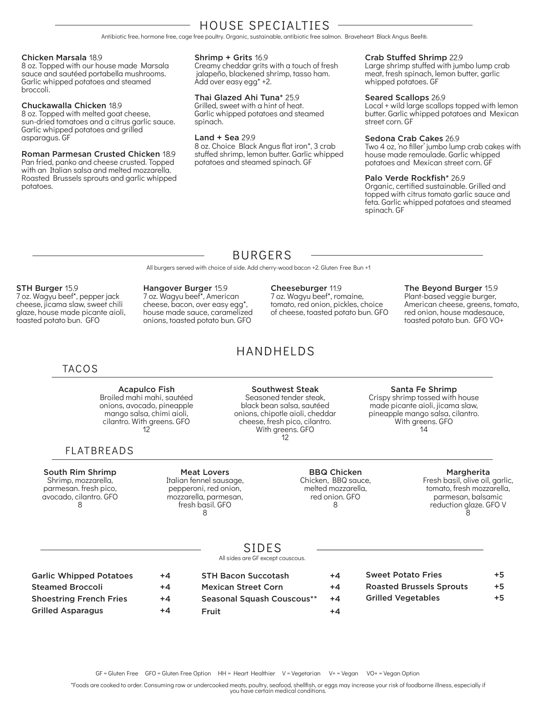## HOUSE SPECIALTIES

Antibiotic free, hormone free, cage free poultry. Organic, sustainable, antibiotic free salmon. Braveheart Black Angus Beef®.

#### Chicken Marsala 18.9

8 oz. Topped with our house made Marsala sauce and sautéed portabella mushrooms. Garlic whipped potatoes and steamed broccoli.

#### Chuckawalla Chicken 18.9

8 oz. Topped with melted goat cheese, sun-dried tomatoes and a citrus garlic sauce. Garlic whipped potatoes and grilled asparagus. GF

Roman Parmesan Crusted Chicken 18.9 Pan fried, panko and cheese crusted. Topped with an Italian salsa and melted mozzarella. Roasted Brussels sprouts and garlic whipped potatoes.

#### Shrimp + Grits 16.9

Creamy cheddar grits with a touch of fresh jalapeño, blackened shrimp, tasso ham. Add over easy egg\* +2.

#### Thai Glazed Ahi Tuna\* 25.9

Grilled, sweet with a hint of heat. Garlic whipped potatoes and steamed spinach.

#### Land + Sea 29.9

8 oz. Choice Black Angus flat iron\*, 3 crab stuffed shrimp, lemon butter. Garlic whipped potatoes and steamed spinach. GF

#### Crab Stuffed Shrimp 22.9

Large shrimp stuffed with jumbo lump crab meat, fresh spinach, lemon butter, garlic whipped potatoes. GF

#### Seared Scallops 26.9

Local + wild large scallops topped with lemon butter. Garlic whipped potatoes and Mexican street corn. GF

#### Sedona Crab Cakes 26.9

Two 4 oz, 'no filler' jumbo lump crab cakes with house made remoulade. Garlic whipped potatoes and Mexican street corn. GF

#### Palo Verde Rockfish\* 26.9

Organic, certified sustainable. Grilled and topped with citrus tomato garlic sauce and feta. Garlic whipped potatoes and steamed spinach. GF

## BURGERS

All burgers served with choice of side. Add cherry-wood bacon +2. Gluten Free Bun +1

#### STH Burger 15.9

7 oz. Wagyu beef\*, pepper jack cheese, jicama slaw, sweet chili glaze, house made picante aioli, toasted potato bun. GFO

Hangover Burger 15.9 7 oz. Wagyu beef\*, American cheese, bacon, over easy egg\*, house made sauce, caramelized onions, toasted potato bun. GFO

#### Cheeseburger 11.9

7 oz. Wagyu beef\*, romaine, tomato, red onion, pickles, choice of cheese, toasted potato bun. GFO

#### The Beyond Burger 15.9

Plant-based veggie burger, American cheese, greens, tomato, red onion, house madesauce, toasted potato bun. GFO VO+

## TACOS

Acapulco Fish Broiled mahi mahi, sautéed onions, avocado, pineapple mango salsa, chimi aioli, cilantro. With greens. GFO

12

## FLATBREADS

South Rim Shrimp Shrimp, mozzarella, parmesan. fresh pico, avocado, cilantro. GFO 8

#### Meat Lovers Italian fennel sausage, pepperoni, red onion, mozzarella, parmesan, fresh basil. GFO 8

Seasoned tender steak, black bean salsa, sautéed onions, chipotle aioli, cheddar cheese, fresh pico, cilantro. With greens. GFO 12

Southwest Steak

#### Santa Fe Shrimp

Crispy shrimp tossed with house made picante aioli, jicama slaw, pineapple mango salsa, cilantro. With greens. GFO 14

#### Margherita

Fresh basil, olive oil, garlic, tomato, fresh mozzarella, parmesan, balsamic reduction glaze. GFO V 8

|  | ۰. |  |  |
|--|----|--|--|
|  |    |  |  |

All sides are GF except couscous.

| <b>Garlic Whipped Potatoes</b> | $+4$ |
|--------------------------------|------|
| <b>Steamed Broccoli</b>        | $+4$ |
| <b>Shoestring French Fries</b> | $+4$ |
| <b>Grilled Asparagus</b>       | $+4$ |

| $+4$ | <b>STH Bacon Succotash</b> | +4 |
|------|----------------------------|----|
| $+4$ | <b>Mexican Street Corn</b> | +4 |
| $+4$ | Seasonal Squash Couscous** | +4 |
| +4   | Fruit                      | +4 |

| <b>Sweet Potato Fries</b>       | $+5$ |
|---------------------------------|------|
| <b>Roasted Brussels Sprouts</b> | $+5$ |
| <b>Grilled Vegetables</b>       | $+5$ |

\*Foods are cooked to order. Consuming raw or undercooked meats, poultry, seafood, shellfish, or eggs may increase your risk of foodborne illness, especially if you have certain medical conditions.

HANDHELDS

BBQ Chicken Chicken, BBQ sauce, melted mozzarella, red onion. GFO 8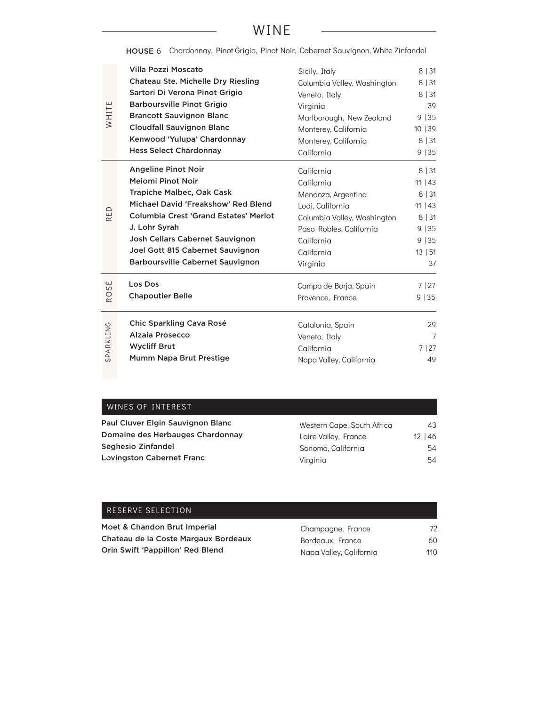## WINE

HOUSE 6 Chardonnay, Pinot Grigio, Pinot Noir, Cabernet Sauvignon, White Zinfandel

|           | Villa Pozzi Moscato                          | Sicily, Italy               | 8 31    |
|-----------|----------------------------------------------|-----------------------------|---------|
|           | <b>Chateau Ste. Michelle Dry Riesling</b>    | Columbia Valley, Washington | 8 31    |
|           | Sartori Di Verona Pinot Grigio               | Veneto, Italy               | 8 31    |
|           | <b>Barboursville Pinot Grigio</b>            | Virginia                    | 39      |
| WHITE     | <b>Brancott Sauvignon Blanc</b>              | Marlborough, New Zealand    | 9 35    |
|           | <b>Cloudfall Sauvignon Blanc</b>             | Monterey, California        | 10   39 |
|           | Kenwood 'Yulupa' Chardonnay                  | Monterey, California        | 8 31    |
|           | <b>Hess Select Chardonnay</b>                | California                  | 9 35    |
|           | <b>Angeline Pinot Noir</b>                   | California                  | 8 31    |
|           | <b>Meiomi Pinot Noir</b>                     | California                  | 11   43 |
|           | <b>Trapiche Malbec, Oak Cask</b>             | Mendoza, Argentina          | 8 31    |
|           | Michael David 'Freakshow' Red Blend          | Lodi, California            | 11   43 |
| RED       | <b>Columbia Crest 'Grand Estates' Merlot</b> | Columbia Valley, Washington | 8 31    |
|           | J. Lohr Syrah                                | Paso Robles, California     | 9 35    |
|           | Josh Cellars Cabernet Sauvignon              | California                  | 9 35    |
|           | Joel Gott 815 Cabernet Sauvignon             | California                  | 13   51 |
|           | <b>Barboursville Cabernet Sauvignon</b>      | Virginia                    | 37      |
| ΨŚ        | Los Dos                                      | Campo de Borja, Spain       | 7   27  |
| RO        | <b>Chapoutier Belle</b>                      | Provence, France            | 9 35    |
|           | Chic Sparkling Cava Rosé                     | Catalonia, Spain            | 29      |
| SPARKLING | <b>Alzaia Prosecco</b>                       | Veneto, Italy               | 7       |
|           | <b>Wycliff Brut</b>                          | California                  | 7 27    |
|           | Mumm Napa Brut Prestige                      | Napa Valley, California     | 49      |
|           |                                              |                             |         |
|           |                                              |                             |         |
|           | WINES OF INTEREST                            |                             |         |
|           | Paul Cluver Elgin Sauvignon Blanc            | Western Cape, South Africa  | 43      |
|           | Domaine des Herbauges Chardonnay             | Loire Valley, France        | 12 46   |
|           | Seghesio Zinfandel                           | Sonoma, California          | 54      |
|           | <b>Lovingston Cabernet Franc</b>             | Virginia                    | 54      |
|           |                                              |                             |         |
|           |                                              |                             |         |
|           | RESERVE SELECTION                            |                             |         |

## WINES OF INTEREST

| Paul Cluver Elgin Sauvignon Blanc | Western Cape, South Africa | 43           |
|-----------------------------------|----------------------------|--------------|
| Domaine des Herbauges Chardonnay  | Loire Valley, France       | $12 \mid 46$ |
| Seghesio Zinfandel                | Sonoma, California         | 54           |
| <b>Lovingston Cabernet Franc</b>  | Virainia                   | 54           |

| RESERVE SELECTION                    |                         |     |
|--------------------------------------|-------------------------|-----|
| Moet & Chandon Brut Imperial         | Champagne, France       | 72  |
| Chateau de la Coste Margaux Bordeaux | Bordeaux, France        | 60  |
| Orin Swift 'Pappillon' Red Blend     | Napa Valley, California | 110 |